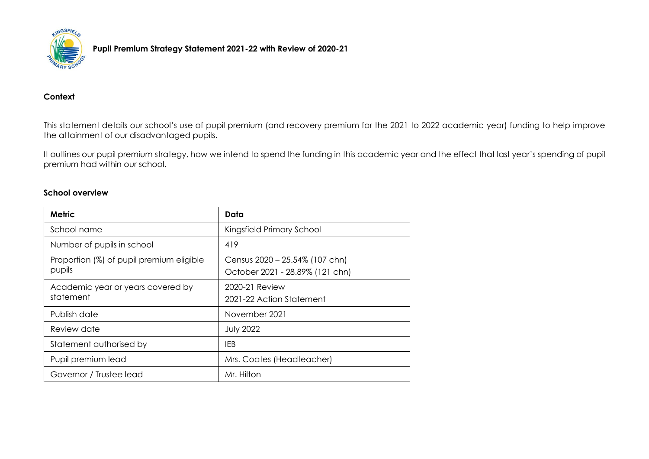

**Pupil Premium Strategy Statement 2021-22 with Review of 2020-21**

#### **Context**

This statement details our school's use of pupil premium (and recovery premium for the 2021 to 2022 academic year) funding to help improve the attainment of our disadvantaged pupils.

It outlines our pupil premium strategy, how we intend to spend the funding in this academic year and the effect that last year's spending of pupil premium had within our school.

#### **School overview**

| Metric                                             | Data                                                              |
|----------------------------------------------------|-------------------------------------------------------------------|
| School name                                        | Kingsfield Primary School                                         |
| Number of pupils in school                         | 419                                                               |
| Proportion (%) of pupil premium eligible<br>pupils | Census 2020 - 25.54% (107 chn)<br>October 2021 - 28.89% (121 chn) |
| Academic year or years covered by<br>statement     | 2020-21 Review<br>2021-22 Action Statement                        |
| Publish date                                       | November 2021                                                     |
| Review date                                        | <b>July 2022</b>                                                  |
| Statement authorised by                            | IEB                                                               |
| Pupil premium lead                                 | Mrs. Coates (Headteacher)                                         |
| Governor / Trustee lead                            | Mr. Hilton                                                        |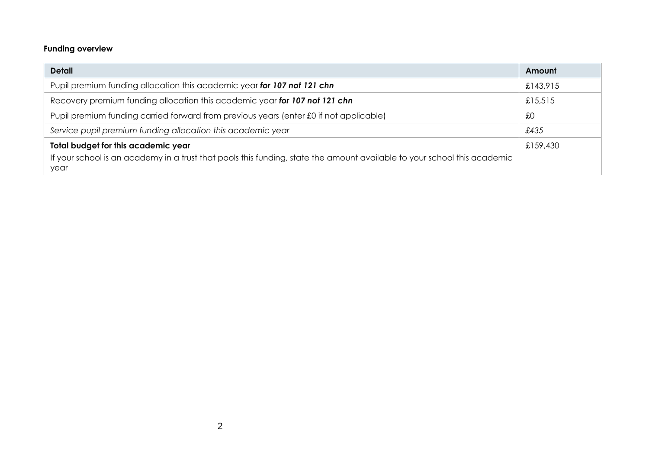# **Funding overview**

| £143,915 |
|----------|
|          |
|          |
|          |
|          |
| £159,430 |
|          |
|          |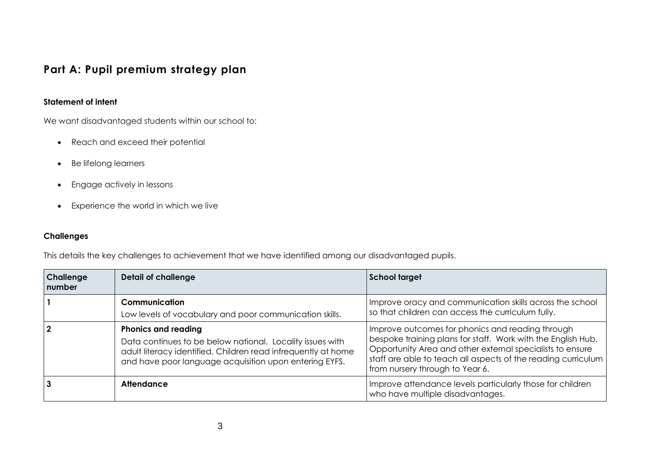# **Part A: Pupil premium strategy plan**

#### **Statement of intent**

We want disadvantaged students within our school to:

- Reach and exceed their potential
- Be lifelong learners
- **•** Engage actively in lessons
- Experience the world in which we live

#### **Challenges**

This details the key challenges to achievement that we have identified among our disadvantaged pupils.

| Challenge<br>number | <b>Detail of challenge</b>                                                                                                                                                                                         | <b>School target</b>                                                                                                                                                                                                                                                              |
|---------------------|--------------------------------------------------------------------------------------------------------------------------------------------------------------------------------------------------------------------|-----------------------------------------------------------------------------------------------------------------------------------------------------------------------------------------------------------------------------------------------------------------------------------|
|                     | Communication<br>Low levels of vocabulary and poor communication skills.                                                                                                                                           | Improve oracy and communication skills across the school<br>so that children can access the curriculum fully.                                                                                                                                                                     |
|                     | <b>Phonics and reading</b><br>Data continues to be below national. Locality issues with<br>adult literacy identified. Children read infrequently at home<br>and have poor language acquisition upon entering EYFS. | Improve outcomes for phonics and reading through<br>bespoke training plans for staff. Work with the English Hub,<br>Opportunity Area and other external specialists to ensure<br>staff are able to teach all aspects of the reading curriculum<br>from nursery through to Year 6. |
|                     | Attendance                                                                                                                                                                                                         | Improve attendance levels particularly those for children<br>who have multiple disadvantages.                                                                                                                                                                                     |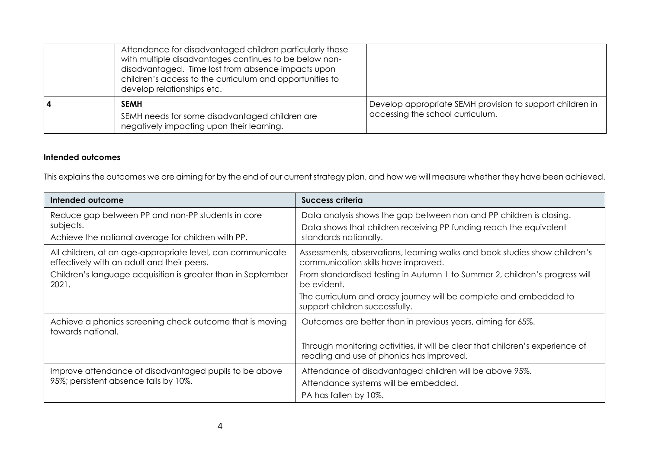|   | Attendance for disadvantaged children particularly those<br>with multiple disadvantages continues to be below non-<br>disadvantaged. Time lost from absence impacts upon<br>children's access to the curriculum and opportunities to<br>develop relationships etc. |                                                                                               |
|---|--------------------------------------------------------------------------------------------------------------------------------------------------------------------------------------------------------------------------------------------------------------------|-----------------------------------------------------------------------------------------------|
| 4 | <b>SEMH</b>                                                                                                                                                                                                                                                        | Develop appropriate SEMH provision to support children in<br>accessing the school curriculum. |
|   | SEMH needs for some disadvantaged children are<br>negatively impacting upon their learning.                                                                                                                                                                        |                                                                                               |

#### **Intended outcomes**

This explains the outcomes we are aiming for by the end of our current strategy plan, and how we will measure whether they have been achieved.

| Intended outcome                                                                                                     | <b>Success criteria</b>                                                                                                                                            |
|----------------------------------------------------------------------------------------------------------------------|--------------------------------------------------------------------------------------------------------------------------------------------------------------------|
| Reduce gap between PP and non-PP students in core<br>subjects.<br>Achieve the national average for children with PP. | Data analysis shows the gap between non and PP children is closing.<br>Data shows that children receiving PP funding reach the equivalent<br>standards nationally. |
| All children, at an age-appropriate level, can communicate<br>effectively with an adult and their peers.             | Assessments, observations, learning walks and book studies show children's<br>communication skills have improved.                                                  |
| Children's language acquisition is greater than in September<br>2021.                                                | From standardised testing in Autumn 1 to Summer 2, children's progress will<br>be evident.                                                                         |
|                                                                                                                      | The curriculum and oracy journey will be complete and embedded to<br>support children successfully.                                                                |
| Achieve a phonics screening check outcome that is moving<br>towards national.                                        | Outcomes are better than in previous years, aiming for 65%.                                                                                                        |
|                                                                                                                      | Through monitoring activities, it will be clear that children's experience of<br>reading and use of phonics has improved.                                          |
| Improve attendance of disadvantaged pupils to be above                                                               | Attendance of disadvantaged children will be above 95%.                                                                                                            |
| 95%; persistent absence falls by 10%.                                                                                | Attendance systems will be embedded.                                                                                                                               |
|                                                                                                                      | PA has fallen by 10%.                                                                                                                                              |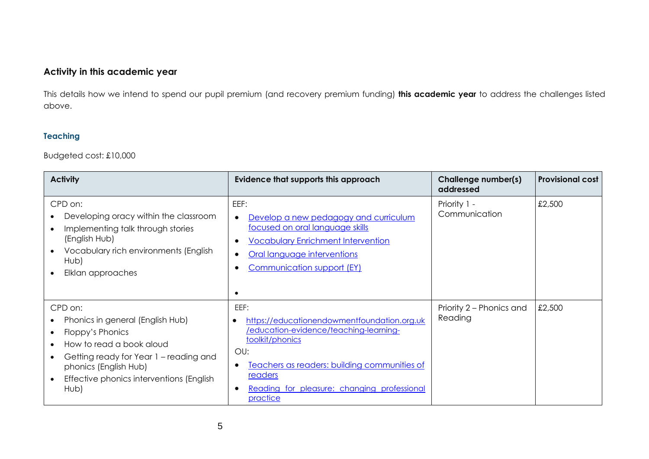# **Activity in this academic year**

This details how we intend to spend our pupil premium (and recovery premium funding) **this academic year** to address the challenges listed above.

#### **Teaching**

#### Budgeted cost: £10,000

| <b>Activity</b>                                                                                                                                                                                                    | Evidence that supports this approach                                                                                                                                                                                                                       | Challenge number(s)<br>addressed    | <b>Provisional cost</b> |
|--------------------------------------------------------------------------------------------------------------------------------------------------------------------------------------------------------------------|------------------------------------------------------------------------------------------------------------------------------------------------------------------------------------------------------------------------------------------------------------|-------------------------------------|-------------------------|
| CPD on:<br>Developing oracy within the classroom<br>Implementing talk through stories<br>(English Hub)<br>Vocabulary rich environments (English<br>Hub)<br>Elklan approaches                                       | EEF:<br>Develop a new pedagogy and curriculum<br>focused on oral language skills<br><b>Vocabulary Enrichment Intervention</b><br>Oral language interventions<br><b>Communication support (EY)</b>                                                          | Priority 1 -<br>Communication       | £2,500                  |
| CPD on:<br>Phonics in general (English Hub)<br>Floppy's Phonics<br>How to read a book aloud<br>Getting ready for Year 1 - reading and<br>phonics (English Hub)<br>Effective phonics interventions (English<br>Hub) | EEF:<br>https://educationendowmentfoundation.org.uk<br>$\bullet$<br>/education-evidence/teaching-learning-<br>toolkit/phonics<br>OU:<br>Teachers as readers: building communities of<br>readers<br>Reading for pleasure: changing professional<br>practice | Priority 2 – Phonics and<br>Reading | £2,500                  |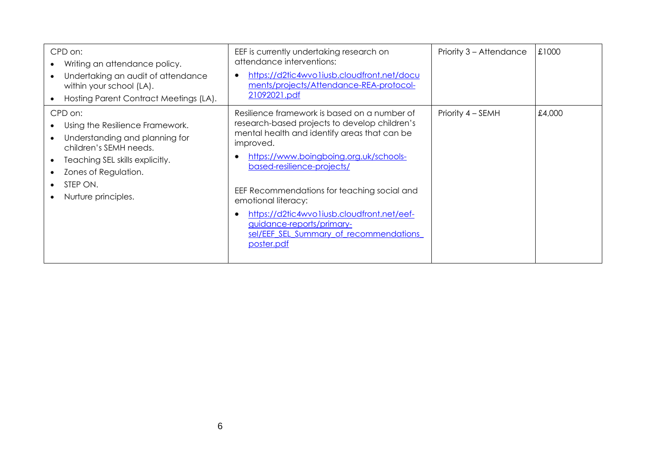| CPD on:<br>Writing an attendance policy.<br>Undertaking an audit of attendance<br>within your school (LA).<br>Hosting Parent Contract Meetings (LA).                                                 | EEF is currently undertaking research on<br>attendance interventions:<br>https://d2tic4wvo1iusb.cloudfront.net/docu<br>ments/projects/Attendance-REA-protocol-<br>21092021.pdf                                                                                                                                                                                                                                                              | Priority 3 - Attendance | £1000  |
|------------------------------------------------------------------------------------------------------------------------------------------------------------------------------------------------------|---------------------------------------------------------------------------------------------------------------------------------------------------------------------------------------------------------------------------------------------------------------------------------------------------------------------------------------------------------------------------------------------------------------------------------------------|-------------------------|--------|
| CPD on:<br>Using the Resilience Framework.<br>Understanding and planning for<br>children's SEMH needs.<br>Teaching SEL skills explicitly.<br>Zones of Regulation.<br>STEP ON.<br>Nurture principles. | Resilience framework is based on a number of<br>research-based projects to develop children's<br>mental health and identify areas that can be<br>improved.<br>https://www.boingboing.org.uk/schools-<br>based-resilience-projects/<br>EEF Recommendations for teaching social and<br>emotional literacy:<br>https://d2tic4wvo1iusb.cloudfront.net/eef-<br>guidance-reports/primary-<br>sel/EEF SEL Summary of recommendations<br>poster.pdf | Priority 4 – SEMH       | £4,000 |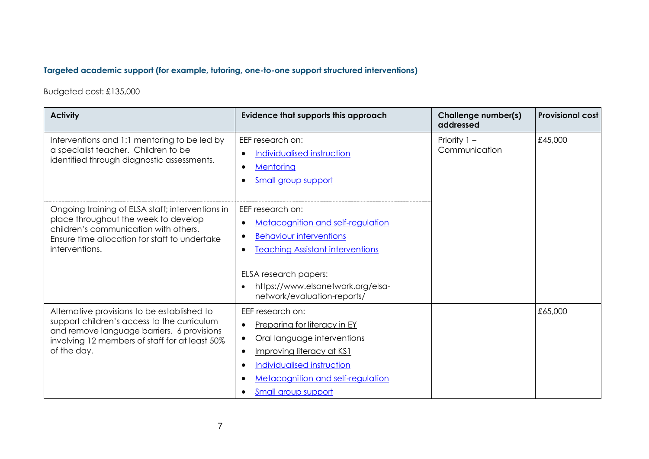# **Targeted academic support (for example, tutoring, one-to-one support structured interventions)**

Budgeted cost: £135,000

| <b>Activity</b>                                                                                                                                                                                           | Evidence that supports this approach                                                                                                                                                                                                   | Challenge number(s)<br>addressed | <b>Provisional cost</b> |
|-----------------------------------------------------------------------------------------------------------------------------------------------------------------------------------------------------------|----------------------------------------------------------------------------------------------------------------------------------------------------------------------------------------------------------------------------------------|----------------------------------|-------------------------|
| Interventions and 1:1 mentoring to be led by<br>a specialist teacher. Children to be<br>identified through diagnostic assessments.                                                                        | EEF research on:<br>Individualised instruction<br>$\bullet$<br>Mentoring<br>$\bullet$<br>Small group support<br>$\bullet$                                                                                                              | Priority $1 -$<br>Communication  | £45,000                 |
| Ongoing training of ELSA staff; interventions in<br>place throughout the week to develop<br>children's communication with others.<br>Ensure time allocation for staff to undertake<br>interventions.      | EEF research on:<br><b>Metacognition and self-regulation</b><br><b>Behaviour interventions</b><br><b>Teaching Assistant interventions</b><br>ELSA research papers:<br>https://www.elsanetwork.org/elsa-<br>network/evaluation-reports/ |                                  |                         |
| Alternative provisions to be established to<br>support children's access to the curriculum<br>and remove language barriers. 6 provisions<br>involving 12 members of staff for at least 50%<br>of the day. | EEF research on:<br>Preparing for literacy in EY<br>Oral language interventions<br>Improving literacy at KS1<br>Individualised instruction<br><b>Metacognition and self-regulation</b><br>Small group support                          |                                  | £65,000                 |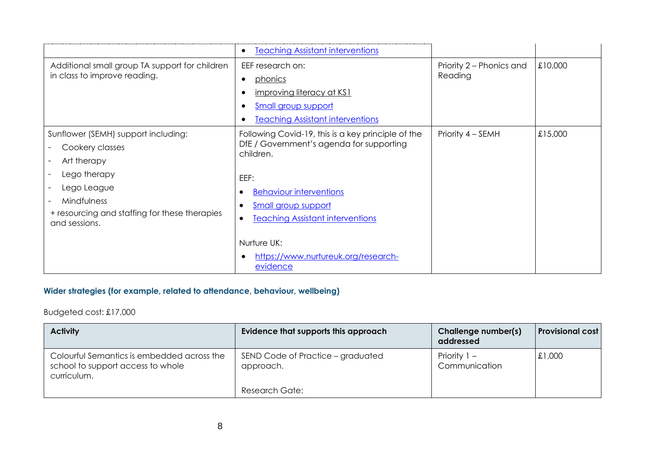|                                                                                                                                                                                       | <b>Teaching Assistant interventions</b><br>$\bullet$                                                                                                                                                                                                                                                                                    |                                     |         |
|---------------------------------------------------------------------------------------------------------------------------------------------------------------------------------------|-----------------------------------------------------------------------------------------------------------------------------------------------------------------------------------------------------------------------------------------------------------------------------------------------------------------------------------------|-------------------------------------|---------|
| Additional small group TA support for children<br>in class to improve reading.                                                                                                        | EEF research on:<br>phonics<br>$\bullet$<br>improving literacy at KS1<br><b>Small group support</b><br><b>Teaching Assistant interventions</b>                                                                                                                                                                                          | Priority 2 – Phonics and<br>Reading | £10,000 |
| Sunflower (SEMH) support including:<br>Cookery classes<br>Art therapy<br>Lego therapy<br>Lego League<br>Mindfulness<br>+ resourcing and staffing for these therapies<br>and sessions. | Following Covid-19, this is a key principle of the<br>DfE / Government's agenda for supporting<br>children.<br>EEF:<br><b>Behaviour interventions</b><br>$\bullet$<br><b>Small group support</b><br>$\bullet$<br><b>Teaching Assistant interventions</b><br>$\bullet$<br>Nurture UK:<br>https://www.nurtureuk.org/research-<br>evidence | Priority 4 – SEMH                   | £15,000 |

# **Wider strategies (for example, related to attendance, behaviour, wellbeing)**

# Budgeted cost: £17,000

| <b>Activity</b>                                                                                | Evidence that supports this approach           | <b>Challenge number(s)</b><br>addressed | <b>Provisional cost</b> |
|------------------------------------------------------------------------------------------------|------------------------------------------------|-----------------------------------------|-------------------------|
| Colourful Semantics is embedded across the<br>school to support access to whole<br>curriculum. | SEND Code of Practice – graduated<br>approach. | Priority $1 -$<br>Communication         | £1,000                  |
|                                                                                                | Research Gate:                                 |                                         |                         |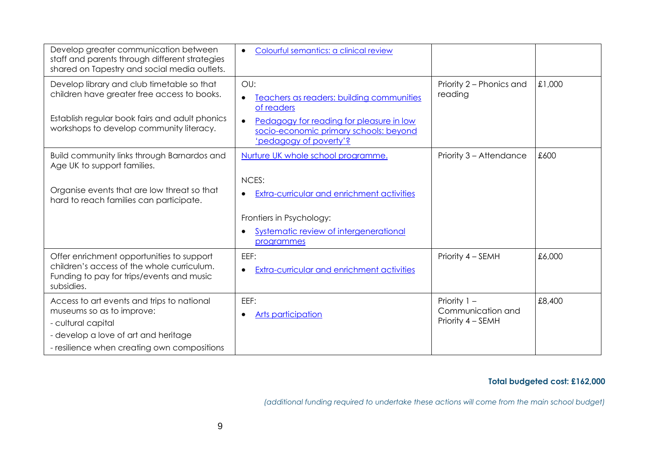| Develop greater communication between<br>staff and parents through different strategies<br>shared on Tapestry and social media outlets.                                                 | Colourful semantics: a clinical review<br>$\bullet$                                                                                                                            |                                                          |        |
|-----------------------------------------------------------------------------------------------------------------------------------------------------------------------------------------|--------------------------------------------------------------------------------------------------------------------------------------------------------------------------------|----------------------------------------------------------|--------|
| Develop library and club timetable so that<br>children have greater free access to books.<br>Establish regular book fairs and adult phonics<br>workshops to develop community literacy. | OU:<br>Teachers as readers: building communities<br>of readers<br>Pedagogy for reading for pleasure in low<br>socio-economic primary schools: beyond<br>'pedagogy of poverty'? | Priority 2 – Phonics and<br>reading                      | £1,000 |
| Build community links through Barnardos and<br>Age UK to support families.                                                                                                              | Nurture UK whole school programme.                                                                                                                                             | Priority 3 – Attendance                                  | £600   |
| Organise events that are low threat so that<br>hard to reach families can participate.                                                                                                  | NCES:<br><b>Extra-curricular and enrichment activities</b>                                                                                                                     |                                                          |        |
|                                                                                                                                                                                         | Frontiers in Psychology:<br>Systematic review of intergenerational<br>programmes                                                                                               |                                                          |        |
| Offer enrichment opportunities to support<br>children's access of the whole curriculum.<br>Funding to pay for trips/events and music<br>subsidies.                                      | EEF:<br><b>Extra-curricular and enrichment activities</b><br>$\bullet$                                                                                                         | Priority 4 - SEMH                                        | £6,000 |
| Access to art events and trips to national<br>museums so as to improve:<br>- cultural capital<br>- develop a love of art and heritage<br>- resilience when creating own compositions    | EEF:<br>Arts participation                                                                                                                                                     | Priority $1 -$<br>Communication and<br>Priority 4 - SEMH | £8,400 |

#### **Total budgeted cost: £162,000**

*(additional funding required to undertake these actions will come from the main school budget)*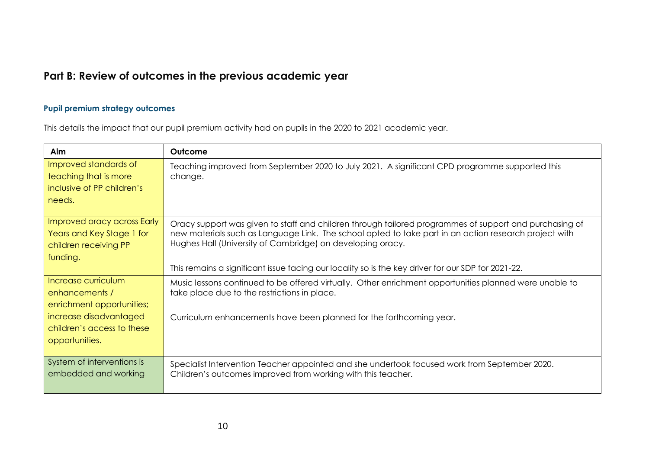# **Part B: Review of outcomes in the previous academic year**

### **Pupil premium strategy outcomes**

This details the impact that our pupil premium activity had on pupils in the 2020 to 2021 academic year.

| Aim                                                                                                                                          | Outcome                                                                                                                                                                                                                                                                                                                                                                             |
|----------------------------------------------------------------------------------------------------------------------------------------------|-------------------------------------------------------------------------------------------------------------------------------------------------------------------------------------------------------------------------------------------------------------------------------------------------------------------------------------------------------------------------------------|
| Improved standards of<br>teaching that is more<br>inclusive of PP children's<br>needs.                                                       | Teaching improved from September 2020 to July 2021. A significant CPD programme supported this<br>change.                                                                                                                                                                                                                                                                           |
| Improved oracy across Early<br>Years and Key Stage 1 for<br>children receiving PP<br>funding.                                                | Oracy support was given to staff and children through tailored programmes of support and purchasing of<br>new materials such as Language Link. The school opted to take part in an action research project with<br>Hughes Hall (University of Cambridge) on developing oracy.<br>This remains a significant issue facing our locality so is the key driver for our SDP for 2021-22. |
| Increase curriculum<br>enhancements /<br>enrichment opportunities;<br>increase disadvantaged<br>children's access to these<br>opportunities. | Music lessons continued to be offered virtually. Other enrichment opportunities planned were unable to<br>take place due to the restrictions in place.<br>Curriculum enhancements have been planned for the forthcoming year.                                                                                                                                                       |
| System of interventions is<br>embedded and working                                                                                           | Specialist Intervention Teacher appointed and she undertook focused work from September 2020.<br>Children's outcomes improved from working with this teacher.                                                                                                                                                                                                                       |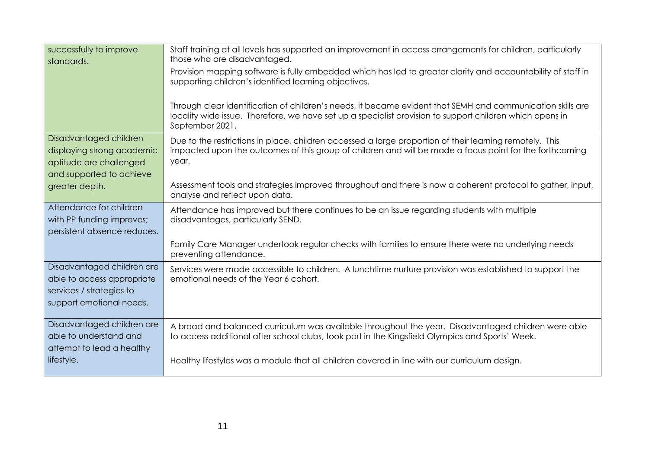| successfully to improve<br>standards.                                                                            | Staff training at all levels has supported an improvement in access arrangements for children, particularly<br>those who are disadvantaged.<br>Provision mapping software is fully embedded which has led to greater clarity and accountability of staff in<br>supporting children's identified learning objectives. |
|------------------------------------------------------------------------------------------------------------------|----------------------------------------------------------------------------------------------------------------------------------------------------------------------------------------------------------------------------------------------------------------------------------------------------------------------|
|                                                                                                                  | Through clear identification of children's needs, it became evident that SEMH and communication skills are<br>locality wide issue. Therefore, we have set up a specialist provision to support children which opens in<br>September 2021.                                                                            |
| Disadvantaged children<br>displaying strong academic<br>aptitude are challenged<br>and supported to achieve      | Due to the restrictions in place, children accessed a large proportion of their learning remotely. This<br>impacted upon the outcomes of this group of children and will be made a focus point for the forthcoming<br>year.                                                                                          |
| greater depth.                                                                                                   | Assessment tools and strategies improved throughout and there is now a coherent protocol to gather, input,<br>analyse and reflect upon data.                                                                                                                                                                         |
| Attendance for children<br>with PP funding improves;<br>persistent absence reduces.                              | Attendance has improved but there continues to be an issue regarding students with multiple<br>disadvantages, particularly SEND.                                                                                                                                                                                     |
|                                                                                                                  | Family Care Manager undertook regular checks with families to ensure there were no underlying needs<br>preventing attendance.                                                                                                                                                                                        |
| Disadvantaged children are<br>able to access appropriate<br>services / strategies to<br>support emotional needs. | Services were made accessible to children. A lunchtime nurture provision was established to support the<br>emotional needs of the Year 6 cohort.                                                                                                                                                                     |
| Disadvantaged children are<br>able to understand and<br>attempt to lead a healthy                                | A broad and balanced curriculum was available throughout the year. Disadvantaged children were able<br>to access additional after school clubs, took part in the Kingsfield Olympics and Sports' Week.                                                                                                               |
| lifestyle.                                                                                                       | Healthy lifestyles was a module that all children covered in line with our curriculum design.                                                                                                                                                                                                                        |